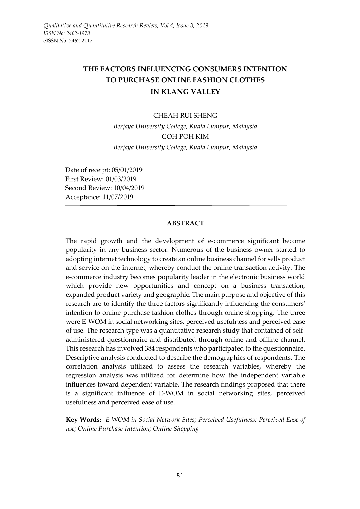# **THE FACTORS INFLUENCING CONSUMERS INTENTION TO PURCHASE ONLINE FASHION CLOTHES IN KLANG VALLEY**

#### CHEAH RUI SHENG

*Berjaya University College, Kuala Lumpur, Malaysia* GOH POH KIM *Berjaya University College, Kuala Lumpur, Malaysia*

Date of receipt: 05/01/2019 First Review: 01/03/2019 Second Review: 10/04/2019 Acceptance: 11/07/2019

#### **ABSTRACT**

The rapid growth and the development of e-commerce significant become popularity in any business sector. Numerous of the business owner started to adopting internet technology to create an online business channel for sells product and service on the internet, whereby conduct the online transaction activity. The e-commerce industry becomes popularity leader in the electronic business world which provide new opportunities and concept on a business transaction, expanded product variety and geographic. The main purpose and objective of this research are to identify the three factors significantly influencing the consumers' intention to online purchase fashion clothes through online shopping. The three were E-WOM in social networking sites, perceived usefulness and perceived ease of use. The research type was a quantitative research study that contained of selfadministered questionnaire and distributed through online and offline channel. This research has involved 384 respondents who participated to the questionnaire. Descriptive analysis conducted to describe the demographics of respondents. The correlation analysis utilized to assess the research variables, whereby the regression analysis was utilized for determine how the independent variable influences toward dependent variable. The research findings proposed that there is a significant influence of E-WOM in social networking sites, perceived usefulness and perceived ease of use.

**Key Words:** *E-WOM in Social Network Sites; Perceived Usefulness; Perceived Ease of use; Online Purchase Intention; Online Shopping*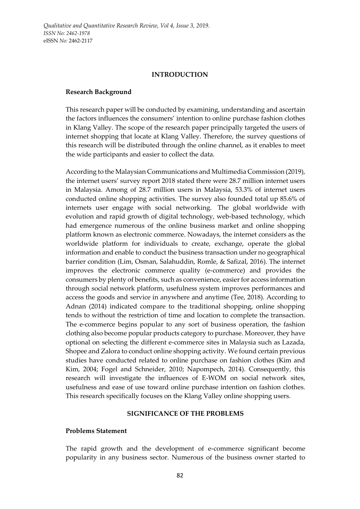#### **INTRODUCTION**

#### **Research Background**

This research paper will be conducted by examining, understanding and ascertain the factors influences the consumers' intention to online purchase fashion clothes in Klang Valley. The scope of the research paper principally targeted the users of internet shopping that locate at Klang Valley. Therefore, the survey questions of this research will be distributed through the online channel, as it enables to meet the wide participants and easier to collect the data.

According to the Malaysian Communications and Multimedia Commission (2019), the internet users' survey report 2018 stated there were 28.7 million internet users in Malaysia. Among of 28.7 million users in Malaysia, 53.3% of internet users conducted online shopping activities. The survey also founded total up 85.6% of internets user engage with social networking. The global worldwide with evolution and rapid growth of digital technology, web-based technology, which had emergence numerous of the online business market and online shopping platform known as electronic commerce. Nowadays, the internet considers as the worldwide platform for individuals to create, exchange, operate the global information and enable to conduct the business transaction under no geographical barrier condition (Lim, Osman, Salahuddin, Romle, & Safizal, 2016). The internet improves the electronic commerce quality (e-commerce) and provides the consumers by plenty of benefits, such as convenience, easier for access information through social network platform, usefulness system improves performances and access the goods and service in anywhere and anytime (Tee, 2018). According to Adnan (2014) indicated compare to the traditional shopping, online shopping tends to without the restriction of time and location to complete the transaction. The e-commerce begins popular to any sort of business operation, the fashion clothing also become popular products category to purchase. Moreover, they have optional on selecting the different e-commerce sites in Malaysia such as Lazada, Shopee and Zalora to conduct online shopping activity. We found certain previous studies have conducted related to online purchase on fashion clothes (Kim and Kim, 2004; Fogel and Schneider, 2010; Napompech, 2014). Consequently, this research will investigate the influences of E-WOM on social network sites, usefulness and ease of use toward online purchase intention on fashion clothes. This research specifically focuses on the Klang Valley online shopping users.

### **SIGNIFICANCE OF THE PROBLEMS**

### **Problems Statement**

The rapid growth and the development of e-commerce significant become popularity in any business sector. Numerous of the business owner started to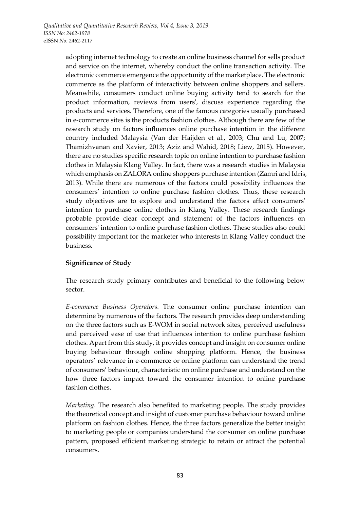adopting internet technology to create an online business channel for sells product and service on the internet, whereby conduct the online transaction activity. The electronic commerce emergence the opportunity of the marketplace. The electronic commerce as the platform of interactivity between online shoppers and sellers. Meanwhile, consumers conduct online buying activity tend to search for the product information, reviews from users', discuss experience regarding the products and services. Therefore, one of the famous categories usually purchased in e-commerce sites is the products fashion clothes. Although there are few of the research study on factors influences online purchase intention in the different country included Malaysia (Van der Haijden et al., 2003; Chu and Lu, 2007; Thamizhvanan and Xavier, 2013; Aziz and Wahid, 2018; Liew, 2015). However, there are no studies specific research topic on online intention to purchase fashion clothes in Malaysia Klang Valley. In fact, there was a research studies in Malaysia which emphasis on ZALORA online shoppers purchase intention (Zamri and Idris, 2013). While there are numerous of the factors could possibility influences the consumers' intention to online purchase fashion clothes. Thus, these research study objectives are to explore and understand the factors affect consumers' intention to purchase online clothes in Klang Valley. These research findings probable provide clear concept and statement of the factors influences on consumers' intention to online purchase fashion clothes. These studies also could possibility important for the marketer who interests in Klang Valley conduct the business.

# **Significance of Study**

The research study primary contributes and beneficial to the following below sector.

*E-commerce Business Operators.* The consumer online purchase intention can determine by numerous of the factors. The research provides deep understanding on the three factors such as E-WOM in social network sites, perceived usefulness and perceived ease of use that influences intention to online purchase fashion clothes. Apart from this study, it provides concept and insight on consumer online buying behaviour through online shopping platform. Hence, the business operators' relevance in e-commerce or online platform can understand the trend of consumers' behaviour, characteristic on online purchase and understand on the how three factors impact toward the consumer intention to online purchase fashion clothes.

*Marketing.* The research also benefited to marketing people. The study provides the theoretical concept and insight of customer purchase behaviour toward online platform on fashion clothes. Hence, the three factors generalize the better insight to marketing people or companies understand the consumer on online purchase pattern, proposed efficient marketing strategic to retain or attract the potential consumers.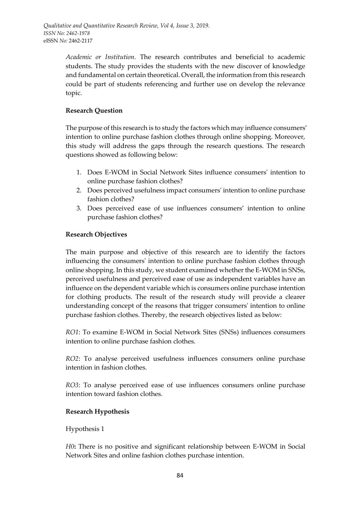*Academic or Institution.* The research contributes and beneficial to academic students. The study provides the students with the new discover of knowledge and fundamental on certain theoretical. Overall, the information from this research could be part of students referencing and further use on develop the relevance topic.

### **Research Question**

The purpose of this research is to study the factors which may influence consumers' intention to online purchase fashion clothes through online shopping. Moreover, this study will address the gaps through the research questions. The research questions showed as following below:

- 1. Does E-WOM in Social Network Sites influence consumers' intention to online purchase fashion clothes?
- 2. Does perceived usefulness impact consumers' intention to online purchase fashion clothes?
- 3. Does perceived ease of use influences consumers' intention to online purchase fashion clothes?

### **Research Objectives**

The main purpose and objective of this research are to identify the factors influencing the consumers' intention to online purchase fashion clothes through online shopping. In this study, we student examined whether the E-WOM in SNSs, perceived usefulness and perceived ease of use as independent variables have an influence on the dependent variable which is consumers online purchase intention for clothing products. The result of the research study will provide a clearer understanding concept of the reasons that trigger consumers' intention to online purchase fashion clothes. Thereby, the research objectives listed as below:

*RO1*: To examine E-WOM in Social Network Sites (SNSs) influences consumers intention to online purchase fashion clothes.

*RO2*: To analyse perceived usefulness influences consumers online purchase intention in fashion clothes.

*RO3*: To analyse perceived ease of use influences consumers online purchase intention toward fashion clothes.

### **Research Hypothesis**

### Hypothesis 1

*H0***:** There is no positive and significant relationship between E-WOM in Social Network Sites and online fashion clothes purchase intention.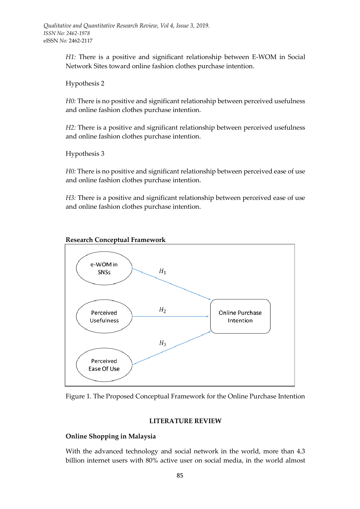*H1:* There is a positive and significant relationship between E-WOM in Social Network Sites toward online fashion clothes purchase intention.

Hypothesis 2

*H0:* There is no positive and significant relationship between perceived usefulness and online fashion clothes purchase intention.

*H2:* There is a positive and significant relationship between perceived usefulness and online fashion clothes purchase intention.

Hypothesis 3

*H0:* There is no positive and significant relationship between perceived ease of use and online fashion clothes purchase intention.

*H3:* There is a positive and significant relationship between perceived ease of use and online fashion clothes purchase intention.



**Research Conceptual Framework**



#### **LITERATURE REVIEW**

### **Online Shopping in Malaysia**

With the advanced technology and social network in the world, more than 4.3 billion internet users with 80% active user on social media, in the world almost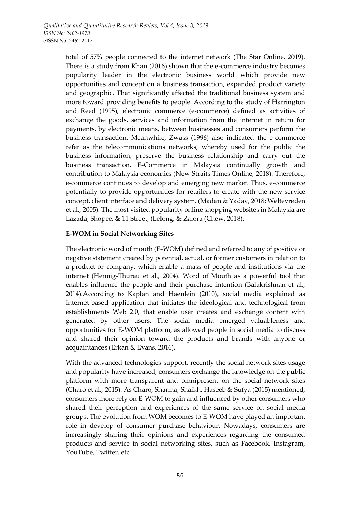total of 57% people connected to the internet network (The Star Online, 2019). There is a study from Khan (2016) shown that the e-commerce industry becomes popularity leader in the electronic business world which provide new opportunities and concept on a business transaction, expanded product variety and geographic. That significantly affected the traditional business system and more toward providing benefits to people. According to the study of Harrington and Reed (1995), electronic commerce (e-commerce) defined as activities of exchange the goods, services and information from the internet in return for payments, by electronic means, between businesses and consumers perform the business transaction. Meanwhile, Zwass (1996) also indicated the e-commerce refer as the telecommunications networks, whereby used for the public the business information, preserve the business relationship and carry out the business transaction. E-Commerce in Malaysia continually growth and contribution to Malaysia economics (New Straits Times Online, 2018). Therefore, e-commerce continues to develop and emerging new market. Thus, e-commerce potentially to provide opportunities for retailers to create with the new service concept, client interface and delivery system. (Madan & Yadav, 2018; Weltevreden et al., 2005). The most visited popularity online shopping websites in Malaysia are Lazada, Shopee, & 11 Street, (Lelong, & Zalora (Chew, 2018).

### **E-WOM in Social Networking Sites**

The electronic word of mouth (E-WOM) defined and referred to any of positive or negative statement created by potential, actual, or former customers in relation to a product or company, which enable a mass of people and institutions via the internet (Hennig-Thurau et al., 2004). Word of Mouth as a powerful tool that enables influence the people and their purchase intention (Balakrishnan et al., 2014).According to Kaplan and Haenlein (2010), social media explained as Internet-based application that initiates the ideological and technological from establishments Web 2.0, that enable user creates and exchange content with generated by other users. The social media emerged valuableness and opportunities for E-WOM platform, as allowed people in social media to discuss and shared their opinion toward the products and brands with anyone or acquaintances (Erkan & Evans, 2016).

With the advanced technologies support, recently the social network sites usage and popularity have increased, consumers exchange the knowledge on the public platform with more transparent and omnipresent on the social network sites (Charo et al., 2015). As Charo, Sharma, Shaikh, Haseeb & Sufya (2015) mentioned, consumers more rely on E-WOM to gain and influenced by other consumers who shared their perception and experiences of the same service on social media groups. The evolution from WOM becomes to E-WOM have played an important role in develop of consumer purchase behaviour. Nowadays, consumers are increasingly sharing their opinions and experiences regarding the consumed products and service in social networking sites, such as Facebook, Instagram, YouTube, Twitter, etc.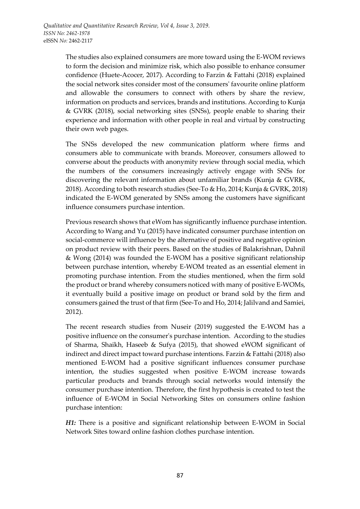The studies also explained consumers are more toward using the E-WOM reviews to form the decision and minimize risk, which also possible to enhance consumer confidence (Huete-Acocer, 2017). According to Farzin & Fattahi (2018) explained the social network sites consider most of the consumers' favourite online platform and allowable the consumers to connect with others by share the review, information on products and services, brands and institutions. According to Kunja & GVRK (2018), social networking sites (SNSs), people enable to sharing their experience and information with other people in real and virtual by constructing their own web pages.

The SNSs developed the new communication platform where firms and consumers able to communicate with brands. Moreover, consumers allowed to converse about the products with anonymity review through social media, which the numbers of the consumers increasingly actively engage with SNSs for discovering the relevant information about unfamiliar brands (Kunja & GVRK, 2018). According to both research studies (See-To & Ho, 2014; Kunja & GVRK, 2018) indicated the E-WOM generated by SNSs among the customers have significant influence consumers purchase intention.

Previous research shows that eWom has significantly influence purchase intention. According to Wang and Yu (2015) have indicated consumer purchase intention on social-commerce will influence by the alternative of positive and negative opinion on product review with their peers. Based on the studies of Balakrishnan, Dahnil & Wong (2014) was founded the E-WOM has a positive significant relationship between purchase intention, whereby E-WOM treated as an essential element in promoting purchase intention. From the studies mentioned, when the firm sold the product or brand whereby consumers noticed with many of positive E-WOMs, it eventually build a positive image on product or brand sold by the firm and consumers gained the trust of that firm (See-To and Ho, 2014; Jalilvand and Samiei, 2012).

The recent research studies from Nuseir (2019) suggested the E-WOM has a positive influence on the consumer's purchase intention. According to the studies of Sharma, Shaikh, Haseeb & Sufya (2015), that showed eWOM significant of indirect and direct impact toward purchase intentions. Farzin & Fattahi (2018) also mentioned E-WOM had a positive significant influences consumer purchase intention, the studies suggested when positive E-WOM increase towards particular products and brands through social networks would intensify the consumer purchase intention. Therefore, the first hypothesis is created to test the influence of E-WOM in Social Networking Sites on consumers online fashion purchase intention:

*H1:* There is a positive and significant relationship between E-WOM in Social Network Sites toward online fashion clothes purchase intention.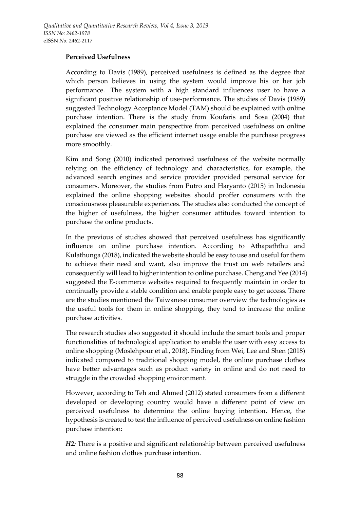### **Perceived Usefulness**

According to Davis (1989), perceived usefulness is defined as the degree that which person believes in using the system would improve his or her job performance. The system with a high standard influences user to have a significant positive relationship of use-performance. The studies of Davis (1989) suggested Technology Acceptance Model (TAM) should be explained with online purchase intention. There is the study from Koufaris and Sosa (2004) that explained the consumer main perspective from perceived usefulness on online purchase are viewed as the efficient internet usage enable the purchase progress more smoothly.

Kim and Song (2010) indicated perceived usefulness of the website normally relying on the efficiency of technology and characteristics, for example, the advanced search engines and service provider provided personal service for consumers. Moreover, the studies from Putro and Haryanto (2015) in Indonesia explained the online shopping websites should proffer consumers with the consciousness pleasurable experiences. The studies also conducted the concept of the higher of usefulness, the higher consumer attitudes toward intention to purchase the online products.

In the previous of studies showed that perceived usefulness has significantly influence on online purchase intention. According to Athapaththu and Kulathunga (2018), indicated the website should be easy to use and useful for them to achieve their need and want, also improve the trust on web retailers and consequently will lead to higher intention to online purchase. Cheng and Yee (2014) suggested the E-commerce websites required to frequently maintain in order to continually provide a stable condition and enable people easy to get access. There are the studies mentioned the Taiwanese consumer overview the technologies as the useful tools for them in online shopping, they tend to increase the online purchase activities.

The research studies also suggested it should include the smart tools and proper functionalities of technological application to enable the user with easy access to online shopping (Moslehpour et al., 2018). Finding from Wei, Lee and Shen (2018) indicated compared to traditional shopping model, the online purchase clothes have better advantages such as product variety in online and do not need to struggle in the crowded shopping environment.

However, according to Teh and Ahmed (2012) stated consumers from a different developed or developing country would have a different point of view on perceived usefulness to determine the online buying intention. Hence, the hypothesis is created to test the influence of perceived usefulness on online fashion purchase intention:

*H2*: There is a positive and significant relationship between perceived usefulness and online fashion clothes purchase intention.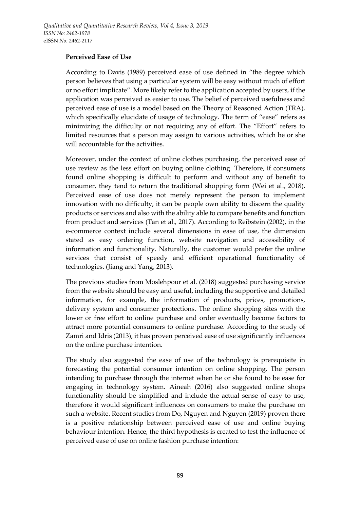### **Perceived Ease of Use**

According to Davis (1989) perceived ease of use defined in "the degree which person believes that using a particular system will be easy without much of effort or no effort implicate". More likely refer to the application accepted by users, if the application was perceived as easier to use. The belief of perceived usefulness and perceived ease of use is a model based on the Theory of Reasoned Action (TRA), which specifically elucidate of usage of technology. The term of "ease" refers as minimizing the difficulty or not requiring any of effort. The "Effort" refers to limited resources that a person may assign to various activities, which he or she will accountable for the activities.

Moreover, under the context of online clothes purchasing, the perceived ease of use review as the less effort on buying online clothing. Therefore, if consumers found online shopping is difficult to perform and without any of benefit to consumer, they tend to return the traditional shopping form (Wei et al., 2018). Perceived ease of use does not merely represent the person to implement innovation with no difficulty, it can be people own ability to discern the quality products or services and also with the ability able to compare benefits and function from product and services (Tan et al., 2017). According to Reibstein (2002), in the e-commerce context include several dimensions in ease of use, the dimension stated as easy ordering function, website navigation and accessibility of information and functionality. Naturally, the customer would prefer the online services that consist of speedy and efficient operational functionality of technologies. (Jiang and Yang, 2013).

The previous studies from Moslehpour et al. (2018) suggested purchasing service from the website should be easy and useful, including the supportive and detailed information, for example, the information of products, prices, promotions, delivery system and consumer protections. The online shopping sites with the lower or free effort to online purchase and order eventually become factors to attract more potential consumers to online purchase. According to the study of Zamri and Idris (2013), it has proven perceived ease of use significantly influences on the online purchase intention.

The study also suggested the ease of use of the technology is prerequisite in forecasting the potential consumer intention on online shopping. The person intending to purchase through the internet when he or she found to be ease for engaging in technology system. Aineah (2016) also suggested online shops functionality should be simplified and include the actual sense of easy to use, therefore it would significant influences on consumers to make the purchase on such a website. Recent studies from Do, Nguyen and Nguyen (2019) proven there is a positive relationship between perceived ease of use and online buying behaviour intention. Hence, the third hypothesis is created to test the influence of perceived ease of use on online fashion purchase intention: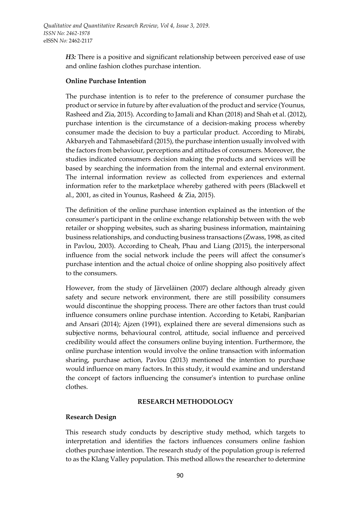*H3:* There is a positive and significant relationship between perceived ease of use and online fashion clothes purchase intention.

### **Online Purchase Intention**

The purchase intention is to refer to the preference of consumer purchase the product or service in future by after evaluation of the product and service (Younus, Rasheed and Zia, 2015). According to Jamali and Khan (2018) and Shah et al. (2012), purchase intention is the circumstance of a decision-making process whereby consumer made the decision to buy a particular product. According to Mirabi, Akbaryeh and Tahmasebifard (2015), the purchase intention usually involved with the factors from behaviour, perceptions and attitudes of consumers. Moreover, the studies indicated consumers decision making the products and services will be based by searching the information from the internal and external environment. The internal information review as collected from experiences and external information refer to the marketplace whereby gathered with peers (Blackwell et al., 2001, as cited in Younus, Rasheed & Zia, 2015).

The definition of the online purchase intention explained as the intention of the consumer's participant in the online exchange relationship between with the web retailer or shopping websites, such as sharing business information, maintaining business relationships, and conducting business transactions (Zwass, 1998, as cited in Pavlou, 2003). According to Cheah, Phau and Liang (2015), the interpersonal influence from the social network include the peers will affect the consumer's purchase intention and the actual choice of online shopping also positively affect to the consumers.

However, from the study of Järveläinen (2007) declare although already given safety and secure network environment, there are still possibility consumers would discontinue the shopping process. There are other factors than trust could influence consumers online purchase intention. According to Ketabi, Ranjbarian and Ansari (2014); Ajzen (1991), explained there are several dimensions such as subjective norms, behavioural control, attitude, social influence and perceived credibility would affect the consumers online buying intention. Furthermore, the online purchase intention would involve the online transaction with information sharing, purchase action, Pavlou (2013) mentioned the intention to purchase would influence on many factors. In this study, it would examine and understand the concept of factors influencing the consumer's intention to purchase online clothes.

### **RESEARCH METHODOLOGY**

### **Research Design**

This research study conducts by descriptive study method, which targets to interpretation and identifies the factors influences consumers online fashion clothes purchase intention. The research study of the population group is referred to as the Klang Valley population. This method allows the researcher to determine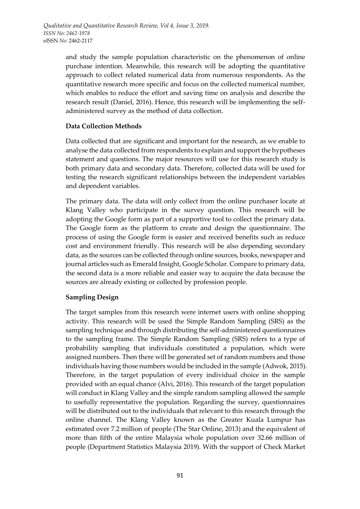and study the sample population characteristic on the phenomenon of online purchase intention. Meanwhile, this research will be adopting the quantitative approach to collect related numerical data from numerous respondents. As the quantitative research more specific and focus on the collected numerical number, which enables to reduce the effort and saving time on analysis and describe the research result (Daniel, 2016). Hence, this research will be implementing the selfadministered survey as the method of data collection.

### **Data Collection Methods**

Data collected that are significant and important for the research, as we enable to analyse the data collected from respondents to explain and support the hypotheses statement and questions. The major resources will use for this research study is both primary data and secondary data. Therefore, collected data will be used for testing the research significant relationships between the independent variables and dependent variables.

The primary data. The data will only collect from the online purchaser locate at Klang Valley who participate in the survey question. This research will be adopting the Google form as part of a supportive tool to collect the primary data. The Google form as the platform to create and design the questionnaire. The process of using the Google form is easier and received benefits such as reduce cost and environment friendly. This research will be also depending secondary data, as the sources can be collected through online sources, books, newspaper and journal articles such as Emerald Insight, Google Scholar. Compare to primary data, the second data is a more reliable and easier way to acquire the data because the sources are already existing or collected by profession people.

### **Sampling Design**

The target samples from this research were internet users with online shopping activity. This research will be used the Simple Random Sampling (SRS) as the sampling technique and through distributing the self-administered questionnaires to the sampling frame. The Simple Random Sampling (SRS) refers to a type of probability sampling that individuals constituted a population, which were assigned numbers. Then there will be generated set of random numbers and those individuals having those numbers would be included in the sample (Adwok, 2015). Therefore, in the target population of every individual choice in the sample provided with an equal chance (Alvi, 2016). This research of the target population will conduct in Klang Valley and the simple random sampling allowed the sample to usefully representative the population. Regarding the survey, questionnaires will be distributed out to the individuals that relevant to this research through the online channel. The Klang Valley known as the Greater Kuala Lumpur has estimated over 7.2 million of people (The Star Online, 2013) and the equivalent of more than fifth of the entire Malaysia whole population over 32.66 million of people (Department Statistics Malaysia 2019). With the support of Check Market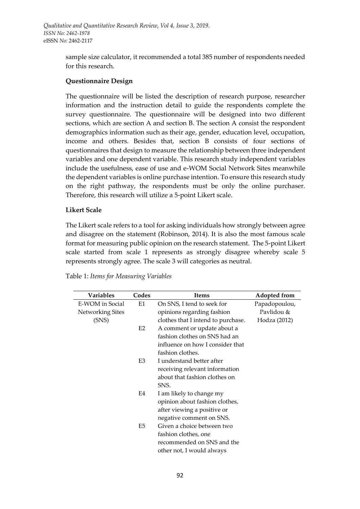*Qualitative and Quantitative Research Review, Vol 4, Issue 3, 2019. ISSN No: 2462-1978*  eISSN *No:* 2462-2117

> sample size calculator, it recommended a total 385 number of respondents needed for this research.

#### **Questionnaire Design**

The questionnaire will be listed the description of research purpose, researcher information and the instruction detail to guide the respondents complete the survey questionnaire. The questionnaire will be designed into two different sections, which are section A and section B. The section A consist the respondent demographics information such as their age, gender, education level, occupation, income and others. Besides that, section B consists of four sections of questionnaires that design to measure the relationship between three independent variables and one dependent variable. This research study independent variables include the usefulness, ease of use and e-WOM Social Network Sites meanwhile the dependent variables is online purchase intention. To ensure this research study on the right pathway, the respondents must be only the online purchaser. Therefore, this research will utilize a 5-point Likert scale.

#### **Likert Scale**

The Likert scale refers to a tool for asking individuals how strongly between agree and disagree on the statement (Robinson, 2014). It is also the most famous scale format for measuring public opinion on the research statement. The 5-point Likert scale started from scale 1 represents as strongly disagree whereby scale 5 represents strongly agree. The scale 3 will categories as neutral.

| <b>Variables</b> | Codes          | <b>Items</b>                       | Adopted from  |
|------------------|----------------|------------------------------------|---------------|
| E-WOM in Social  | E1             | On SNS, I tend to seek for         | Papadopoulou, |
| Networking Sites |                | opinions regarding fashion         | Pavlidou &    |
| (SNS)            |                | clothes that I intend to purchase. | Hodza (2012)  |
|                  | E <sub>2</sub> | A comment or update about a        |               |
|                  |                | fashion clothes on SNS had an      |               |
|                  |                | influence on how I consider that   |               |
|                  |                | fashion clothes.                   |               |
|                  | E <sub>3</sub> | I understand better after          |               |
|                  |                | receiving relevant information     |               |
|                  |                | about that fashion clothes on      |               |
|                  |                | SNS.                               |               |
|                  | E4             | I am likely to change my           |               |
|                  |                | opinion about fashion clothes,     |               |
|                  |                | after viewing a positive or        |               |
|                  |                | negative comment on SNS.           |               |
|                  | E5             | Given a choice between two         |               |
|                  |                | fashion clothes, one               |               |
|                  |                | recommended on SNS and the         |               |
|                  |                | other not, I would always          |               |

|  |  | Table 1: Items for Measuring Variables |
|--|--|----------------------------------------|
|  |  |                                        |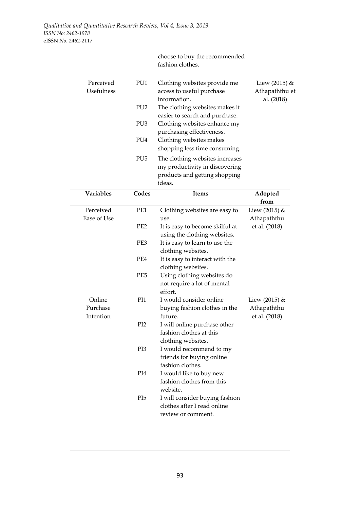#### choose to buy the recommended fashion clothes.

| Perceived<br><b>Usefulness</b> | PU1             | Clothing websites provide me<br>access to useful purchase<br>information. | Liew $(2015)$ &<br>Athapaththu et<br>al. (2018) |
|--------------------------------|-----------------|---------------------------------------------------------------------------|-------------------------------------------------|
|                                | PU <sub>2</sub> | The clothing websites makes it                                            |                                                 |
|                                |                 | easier to search and purchase.                                            |                                                 |
|                                | PU <sub>3</sub> | Clothing websites enhance my                                              |                                                 |
|                                |                 | purchasing effectiveness.                                                 |                                                 |
|                                | PU4             | Clothing websites makes                                                   |                                                 |
|                                |                 | shopping less time consuming.                                             |                                                 |
|                                | PU <sub>5</sub> | The clothing websites increases                                           |                                                 |
|                                |                 | my productivity in discovering                                            |                                                 |
|                                |                 | products and getting shopping                                             |                                                 |
|                                |                 | ideas.                                                                    |                                                 |

| Variables                       | Codes           | <b>Items</b>                                                                        | Adopted                                         |
|---------------------------------|-----------------|-------------------------------------------------------------------------------------|-------------------------------------------------|
|                                 |                 |                                                                                     | from                                            |
| Perceived                       | PE1             | Clothing websites are easy to                                                       | Liew (2015) &                                   |
| Ease of Use                     |                 | use.                                                                                | Athapaththu                                     |
|                                 | PE <sub>2</sub> | It is easy to become skilful at<br>using the clothing websites.                     | et al. (2018)                                   |
|                                 | PE3             | It is easy to learn to use the<br>clothing websites.                                |                                                 |
|                                 | PE4             | It is easy to interact with the<br>clothing websites.                               |                                                 |
|                                 | PE <sub>5</sub> | Using clothing websites do<br>not require a lot of mental<br>effort.                |                                                 |
| Online<br>Purchase<br>Intention | PI1             | I would consider online<br>buying fashion clothes in the<br>future.                 | Liew $(2015)$ &<br>Athapaththu<br>et al. (2018) |
|                                 | P <sub>I2</sub> | I will online purchase other<br>fashion clothes at this<br>clothing websites.       |                                                 |
|                                 | PI3             | I would recommend to my<br>friends for buying online<br>fashion clothes.            |                                                 |
|                                 | PI4             | I would like to buy new<br>fashion clothes from this<br>website.                    |                                                 |
|                                 | PI <sub>5</sub> | I will consider buying fashion<br>clothes after I read online<br>review or comment. |                                                 |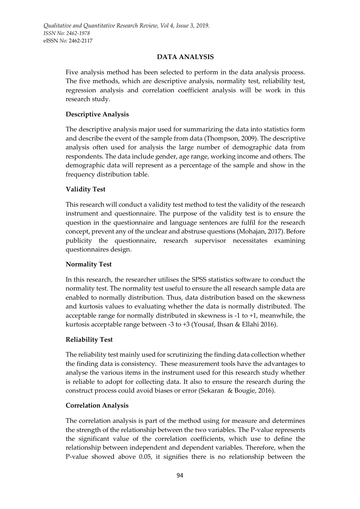# **DATA ANALYSIS**

Five analysis method has been selected to perform in the data analysis process. The five methods, which are descriptive analysis, normality test, reliability test, regression analysis and correlation coefficient analysis will be work in this research study.

# **Descriptive Analysis**

The descriptive analysis major used for summarizing the data into statistics form and describe the event of the sample from data (Thompson, 2009). The descriptive analysis often used for analysis the large number of demographic data from respondents. The data include gender, age range, working income and others. The demographic data will represent as a percentage of the sample and show in the frequency distribution table.

# **Validity Test**

This research will conduct a validity test method to test the validity of the research instrument and questionnaire. The purpose of the validity test is to ensure the question in the questionnaire and language sentences are fulfil for the research concept, prevent any of the unclear and abstruse questions (Mohajan, 2017). Before publicity the questionnaire, research supervisor necessitates examining questionnaires design.

# **Normality Test**

In this research, the researcher utilises the SPSS statistics software to conduct the normality test. The normality test useful to ensure the all research sample data are enabled to normally distribution. Thus, data distribution based on the skewness and kurtosis values to evaluating whether the data is normally distributed. The acceptable range for normally distributed in skewness is -1 to +1, meanwhile, the kurtosis acceptable range between -3 to +3 (Yousaf, Ihsan & Ellahi 2016).

# **Reliability Test**

The reliability test mainly used for scrutinizing the finding data collection whether the finding data is consistency. These measurement tools have the advantages to analyse the various items in the instrument used for this research study whether is reliable to adopt for collecting data. It also to ensure the research during the construct process could avoid biases or error (Sekaran & Bougie, 2016).

# **Correlation Analysis**

The correlation analysis is part of the method using for measure and determines the strength of the relationship between the two variables. The P-value represents the significant value of the correlation coefficients, which use to define the relationship between independent and dependent variables. Therefore, when the P-value showed above 0.05, it signifies there is no relationship between the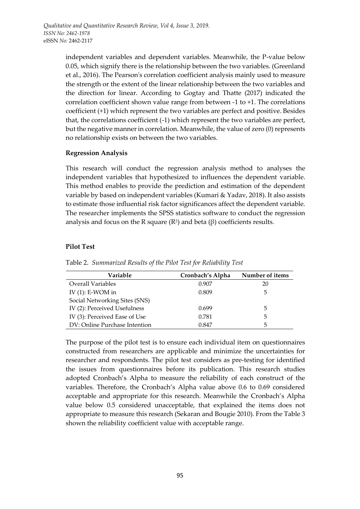independent variables and dependent variables. Meanwhile, the P-value below 0.05, which signify there is the relationship between the two variables. (Greenland et al., 2016). The Pearson's correlation coefficient analysis mainly used to measure the strength or the extent of the linear relationship between the two variables and the direction for linear. According to Gogtay and Thatte (2017) indicated the correlation coefficient shown value range from between -1 to +1. The correlations coefficient (+1) which represent the two variables are perfect and positive. Besides that, the correlations coefficient (-1) which represent the two variables are perfect, but the negative manner in correlation. Meanwhile, the value of zero (0) represents no relationship exists on between the two variables.

#### **Regression Analysis**

This research will conduct the regression analysis method to analyses the independent variables that hypothesized to influences the dependent variable. This method enables to provide the prediction and estimation of the dependent variable by based on independent variables (Kumari & Yadav, 2018). It also assists to estimate those influential risk factor significances affect the dependent variable. The researcher implements the SPSS statistics software to conduct the regression analysis and focus on the R square (R<sup>2</sup>) and beta (β) coefficients results.

### **Pilot Test**

| Variable                      | Cronbach's Alpha | Number of items |
|-------------------------------|------------------|-----------------|
| <b>Overall Variables</b>      | 0.907            | 20              |
| IV $(1)$ : E-WOM in           | 0.809            | 5               |
| Social Networking Sites (SNS) |                  |                 |
| IV (2): Perceived Usefulness  | 0.699            | 5               |
| IV (3): Perceived Ease of Use | 0.781            | 5               |
| DV: Online Purchase Intention | 0.847            | 5               |

Table 2. *Summarized Results of the Pilot Test for Reliability Test*

The purpose of the pilot test is to ensure each individual item on questionnaires constructed from researchers are applicable and minimize the uncertainties for researcher and respondents. The pilot test considers as pre-testing for identified the issues from questionnaires before its publication. This research studies adopted Cronbach's Alpha to measure the reliability of each construct of the variables. Therefore, the Cronbach's Alpha value above 0.6 to 0.69 considered acceptable and appropriate for this research. Meanwhile the Cronbach's Alpha value below 0.5 considered unacceptable, that explained the items does not appropriate to measure this research (Sekaran and Bougie 2010). From the Table 3 shown the reliability coefficient value with acceptable range.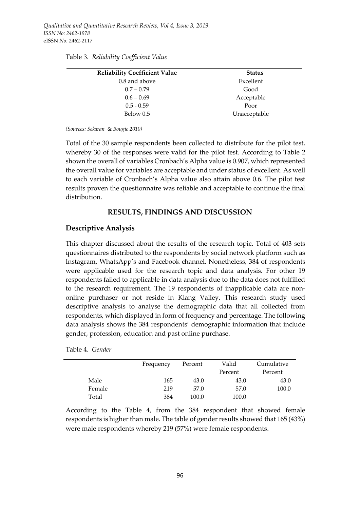| <b>Reliability Coefficient Value</b> | <b>Status</b> |
|--------------------------------------|---------------|
| 0.8 and above                        | Excellent     |
| $0.7 - 0.79$                         | Good          |
| $0.6 - 0.69$                         | Acceptable    |
| $0.5 - 0.59$                         | Poor          |
| Below 0.5                            | Unacceptable  |

Table 3. *Reliability Coefficient Value* 

*(Sources: Sekaran* & *Bougie 2010)*

Total of the 30 sample respondents been collected to distribute for the pilot test, whereby 30 of the responses were valid for the pilot test. According to Table 2 shown the overall of variables Cronbach's Alpha value is 0.907, which represented the overall value for variables are acceptable and under status of excellent. As well to each variable of Cronbach's Alpha value also attain above 0.6. The pilot test results proven the questionnaire was reliable and acceptable to continue the final distribution.

### **RESULTS, FINDINGS AND DISCUSSION**

### **Descriptive Analysis**

This chapter discussed about the results of the research topic. Total of 403 sets questionnaires distributed to the respondents by social network platform such as Instagram, WhatsApp's and Facebook channel. Nonetheless, 384 of respondents were applicable used for the research topic and data analysis. For other 19 respondents failed to applicable in data analysis due to the data does not fulfilled to the research requirement. The 19 respondents of inapplicable data are nononline purchaser or not reside in Klang Valley. This research study used descriptive analysis to analyse the demographic data that all collected from respondents, which displayed in form of frequency and percentage. The following data analysis shows the 384 respondents' demographic information that include gender, profession, education and past online purchase.

|  | Table 4. Gender |
|--|-----------------|
|  |                 |

|        | Frequency | Percent | Valid   | Cumulative |
|--------|-----------|---------|---------|------------|
|        |           |         | Percent | Percent    |
| Male   | 165       | 43.0    | 43.0    | 43.0       |
| Female | 219       | 57.0    | 57.0    | 100.0      |
| Total  | 384       | 100.0   | 100.0   |            |

According to the Table 4, from the 384 respondent that showed female respondents is higher than male. The table of gender results showed that 165 (43%) were male respondents whereby 219 (57%) were female respondents.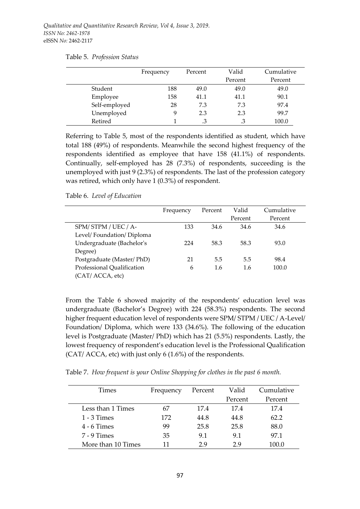|               | Frequency | Percent | Valid   | Cumulative |  |
|---------------|-----------|---------|---------|------------|--|
|               |           |         | Percent | Percent    |  |
| Student       | 188       | 49.0    | 49.0    | 49.0       |  |
| Employee      | 158       | 41.1    | 41.1    | 90.1       |  |
| Self-employed | 28        | 7.3     | 7.3     | 97.4       |  |
| Unemployed    | 9         | 2.3     | 2.3     | 99.7       |  |
| Retired       |           |         |         | 100.0      |  |

Table 5. *Profession Status*

Referring to Table 5, most of the respondents identified as student, which have total 188 (49%) of respondents. Meanwhile the second highest frequency of the respondents identified as employee that have 158 (41.1%) of respondents. Continually, self-employed has 28 (7.3%) of respondents, succeeding is the unemployed with just 9 (2.3%) of respondents. The last of the profession category was retired, which only have 1 (0.3%) of respondent.

#### Table 6. *Level of Education*

|                            | Frequency | Percent | Valid   | Cumulative |
|----------------------------|-----------|---------|---------|------------|
|                            |           |         | Percent | Percent    |
| SPM/STPM/UEC/A-            | 133       | 34.6    | 34.6    | 34.6       |
| Level/Foundation/Diploma   |           |         |         |            |
| Undergraduate (Bachelor's  | 224       | 58.3    | 58.3    | 93.0       |
| Degree)                    |           |         |         |            |
| Postgraduate (Master/PhD)  | 21        | 5.5     | 5.5     | 98.4       |
| Professional Qualification | 6         | 1.6     | 1.6     | 100.0      |
| (CAT/ ACCA, etc)           |           |         |         |            |

From the Table 6 showed majority of the respondents' education level was undergraduate (Bachelor's Degree) with 224 (58.3%) respondents. The second higher frequent education level of respondents were SPM/ STPM / UEC / A-Level/ Foundation/ Diploma, which were 133 (34.6%). The following of the education level is Postgraduate (Master/ PhD) which has 21 (5.5%) respondents. Lastly, the lowest frequency of respondent's education level is the Professional Qualification (CAT/ ACCA, etc) with just only 6 (1.6%) of the respondents.

Table 7. *How frequent is your Online Shopping for clothes in the past 6 month.*

| <b>Times</b>       | Frequency | Percent | Valid   | Cumulative |
|--------------------|-----------|---------|---------|------------|
|                    |           |         | Percent | Percent    |
| Less than 1 Times  |           | 17.4    | 17.4    | 17.4       |
| $1 - 3$ Times      | 172       | 44.8    | 44.8    | 62.2       |
| $4 - 6$ Times      | 99        | 25.8    | 25.8    | 88.0       |
| $7 - 9$ Times      | 35        | 9.1     | 9.1     | 97.1       |
| More than 10 Times | 11        | 29      | 29      | 100.0      |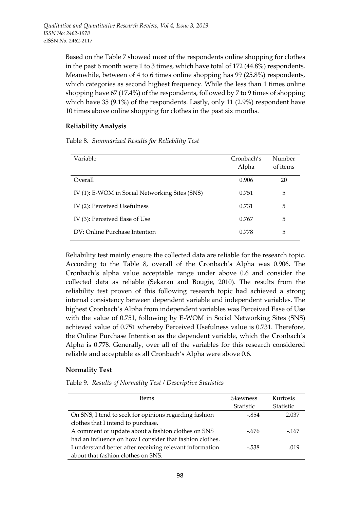Based on the Table 7 showed most of the respondents online shopping for clothes in the past 6 month were 1 to 3 times, which have total of 172 (44.8%) respondents. Meanwhile, between of 4 to 6 times online shopping has 99 (25.8%) respondents, which categories as second highest frequency. While the less than 1 times online shopping have 67 (17.4%) of the respondents, followed by 7 to 9 times of shopping which have 35 (9.1%) of the respondents. Lastly, only 11 (2.9%) respondent have 10 times above online shopping for clothes in the past six months.

### **Reliability Analysis**

Table 8. *Summarized Results for Reliability Test*

| Variable                                       | Cronbach's<br>Alpha | Number<br>of items |
|------------------------------------------------|---------------------|--------------------|
| Overall                                        | 0.906               | 20                 |
| IV (1): E-WOM in Social Networking Sites (SNS) | 0.751               | 5                  |
| IV (2): Perceived Usefulness                   | 0.731               | 5                  |
| IV (3): Perceived Ease of Use                  | 0.767               | 5                  |
| DV: Online Purchase Intention                  | 0.778               | 5                  |

Reliability test mainly ensure the collected data are reliable for the research topic. According to the Table 8, overall of the Cronbach's Alpha was 0.906. The Cronbach's alpha value acceptable range under above 0.6 and consider the collected data as reliable (Sekaran and Bougie, 2010). The results from the reliability test proven of this following research topic had achieved a strong internal consistency between dependent variable and independent variables. The highest Cronbach's Alpha from independent variables was Perceived Ease of Use with the value of 0.751, following by E-WOM in Social Networking Sites (SNS) achieved value of 0.751 whereby Perceived Usefulness value is 0.731. Therefore, the Online Purchase Intention as the dependent variable, which the Cronbach's Alpha is 0.778. Generally, over all of the variables for this research considered reliable and acceptable as all Cronbach's Alpha were above 0.6.

### **Normality Test**

Table 9. *Results of Normality Test / Descriptive Statistics*

| <b>Items</b>                                             | <b>Skewness</b> | Kurtosis         |
|----------------------------------------------------------|-----------------|------------------|
|                                                          | Statistic       | <b>Statistic</b> |
| On SNS, I tend to seek for opinions regarding fashion    | $-.854$         | 2.037            |
| clothes that I intend to purchase.                       |                 |                  |
| A comment or update about a fashion clothes on SNS       | $-.676$         | $-167$           |
| had an influence on how I consider that fashion clothes. |                 |                  |
| I understand better after receiving relevant information | $-.538$         | .019             |
| about that fashion clothes on SNS.                       |                 |                  |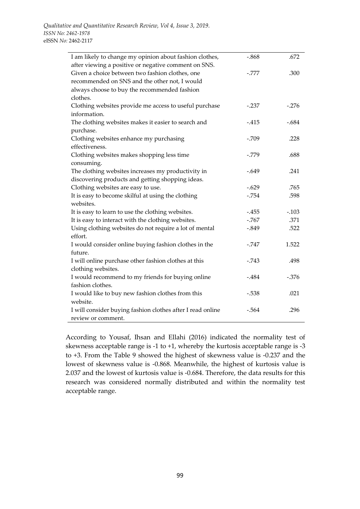| I am likely to change my opinion about fashion clothes,    | $-.868$ | .672    |
|------------------------------------------------------------|---------|---------|
| after viewing a positive or negative comment on SNS.       |         |         |
| Given a choice between two fashion clothes, one            | $-.777$ | .300    |
| recommended on SNS and the other not, I would              |         |         |
| always choose to buy the recommended fashion               |         |         |
| clothes.                                                   |         |         |
| Clothing websites provide me access to useful purchase     | $-.237$ | $-.276$ |
| information.                                               |         |         |
| The clothing websites makes it easier to search and        | $-.415$ | $-.684$ |
| purchase.                                                  |         |         |
| Clothing websites enhance my purchasing                    | $-.709$ | .228    |
| effectiveness.                                             |         |         |
| Clothing websites makes shopping less time                 | $-.779$ | .688    |
| consuming.                                                 |         |         |
| The clothing websites increases my productivity in         | $-.649$ | .241    |
| discovering products and getting shopping ideas.           |         |         |
| Clothing websites are easy to use.                         | $-.629$ | .765    |
| It is easy to become skilful at using the clothing         | $-.754$ | .598    |
| websites.                                                  |         |         |
| It is easy to learn to use the clothing websites.          | $-.455$ | $-.103$ |
| It is easy to interact with the clothing websites.         | $-.767$ | .371    |
| Using clothing websites do not require a lot of mental     | $-.849$ | .522    |
| effort.                                                    |         |         |
| I would consider online buying fashion clothes in the      | $-.747$ | 1.522   |
| future.                                                    |         |         |
| I will online purchase other fashion clothes at this       | $-.743$ | .498    |
| clothing websites.                                         |         |         |
| I would recommend to my friends for buying online          | $-.484$ | $-.376$ |
| fashion clothes.                                           |         |         |
| I would like to buy new fashion clothes from this          | $-.538$ | .021    |
| website.                                                   |         |         |
| I will consider buying fashion clothes after I read online | $-.564$ | .296    |
| review or comment.                                         |         |         |

According to Yousaf, Ihsan and Ellahi (2016) indicated the normality test of skewness acceptable range is -1 to +1, whereby the kurtosis acceptable range is -3 to +3. From the Table 9 showed the highest of skewness value is -0.237 and the lowest of skewness value is -0.868. Meanwhile, the highest of kurtosis value is 2.037 and the lowest of kurtosis value is -0.684. Therefore, the data results for this research was considered normally distributed and within the normality test acceptable range.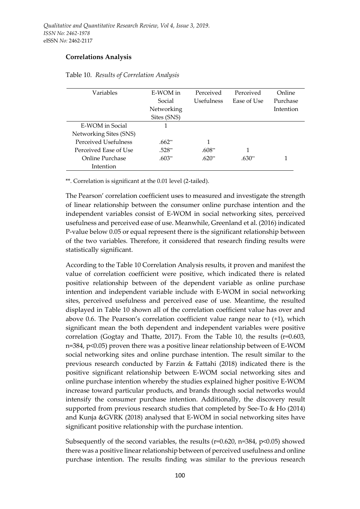### **Correlations Analysis**

| Variables              | E-WOM in    | Perceived  | Perceived   | Online    |
|------------------------|-------------|------------|-------------|-----------|
|                        | Social      | Usefulness | Ease of Use | Purchase  |
|                        | Networking  |            |             | Intention |
|                        | Sites (SNS) |            |             |           |
| E-WOM in Social        |             |            |             |           |
| Networking Sites (SNS) |             |            |             |           |
| Perceived Usefulness   | $.662**$    |            |             |           |
| Perceived Ease of Use  | .528**      | .608**     |             |           |
| Online Purchase        | $.603**$    | $.620**$   | $.630**$    |           |
| Intention              |             |            |             |           |

Table 10. *Results of Correlation Analysis*

\*\*. Correlation is significant at the 0.01 level (2-tailed).

The Pearson' correlation coefficient uses to measured and investigate the strength of linear relationship between the consumer online purchase intention and the independent variables consist of E-WOM in social networking sites, perceived usefulness and perceived ease of use. Meanwhile, Greenland et al. (2016) indicated P-value below 0.05 or equal represent there is the significant relationship between of the two variables. Therefore, it considered that research finding results were statistically significant.

According to the Table 10 Correlation Analysis results, it proven and manifest the value of correlation coefficient were positive, which indicated there is related positive relationship between of the dependent variable as online purchase intention and independent variable include with E-WOM in social networking sites, perceived usefulness and perceived ease of use. Meantime, the resulted displayed in Table 10 shown all of the correlation coefficient value has over and above 0.6. The Pearson's correlation coefficient value range near to (+1), which significant mean the both dependent and independent variables were positive correlation (Gogtay and Thatte, 2017). From the Table 10, the results  $(r=0.603, r=0.603)$ n=384, p<0.05) proven there was a positive linear relationship between of E-WOM social networking sites and online purchase intention. The result similar to the previous research conducted by Farzin & Fattahi (2018) indicated there is the positive significant relationship between E-WOM social networking sites and online purchase intention whereby the studies explained higher positive E-WOM increase toward particular products, and brands through social networks would intensify the consumer purchase intention. Additionally, the discovery result supported from previous research studies that completed by See-To & Ho (2014) and Kunja &GVRK (2018) analysed that E-WOM in social networking sites have significant positive relationship with the purchase intention.

Subsequently of the second variables, the results  $(r=0.620, n=384, p<0.05)$  showed there was a positive linear relationship between of perceived usefulness and online purchase intention. The results finding was similar to the previous research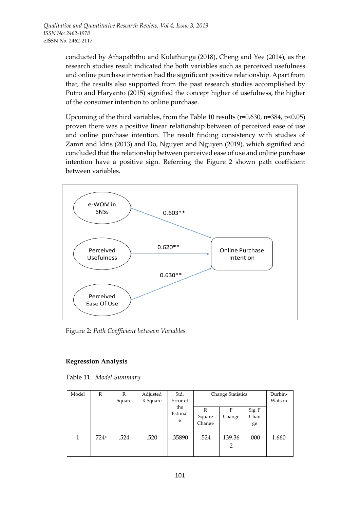conducted by Athapaththu and Kulathunga (2018), Cheng and Yee (2014), as the research studies result indicated the both variables such as perceived usefulness and online purchase intention had the significant positive relationship. Apart from that, the results also supported from the past research studies accomplished by Putro and Haryanto (2015) signified the concept higher of usefulness, the higher of the consumer intention to online purchase.

Upcoming of the third variables, from the Table 10 results ( $r=0.630$ ,  $n=384$ ,  $p<0.05$ ) proven there was a positive linear relationship between of perceived ease of use and online purchase intention. The result finding consistency with studies of Zamri and Idris (2013) and Do, Nguyen and Nguyen (2019), which signified and concluded that the relationship between perceived ease of use and online purchase intention have a positive sign. Referring the Figure 2 shown path coefficient between variables.



Figure 2: *Path Coefficient between Variables*

# **Regression Analysis**

Table 11. *Model Summary*

| Model | R     | R<br>Square | Adjusted<br>R Square | Std.<br>Error of    | <b>Change Statistics</b> |             |                      | Durbin-<br>Watson |
|-------|-------|-------------|----------------------|---------------------|--------------------------|-------------|----------------------|-------------------|
|       |       |             |                      | the<br>Estimat<br>e | R<br>Square<br>Change    | F<br>Change | Sig. F<br>Chan<br>ge |                   |
|       | .724a | .524        | .520                 | .35890              | .524                     | 139.36<br>2 | .000                 | 1.660             |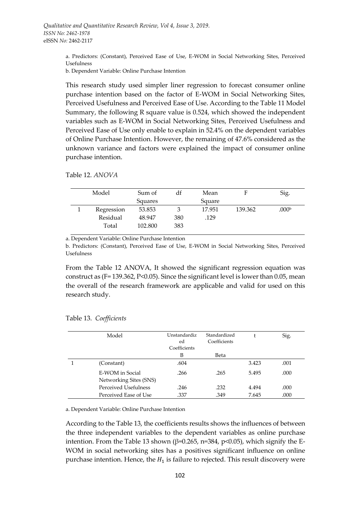a. Predictors: (Constant), Perceived Ease of Use, E-WOM in Social Networking Sites, Perceived Usefulness

b. Dependent Variable: Online Purchase Intention

This research study used simpler liner regression to forecast consumer online purchase intention based on the factor of E-WOM in Social Networking Sites, Perceived Usefulness and Perceived Ease of Use. According to the Table 11 Model Summary, the following R square value is 0.524, which showed the independent variables such as E-WOM in Social Networking Sites, Perceived Usefulness and Perceived Ease of Use only enable to explain in 52.4% on the dependent variables of Online Purchase Intention. However, the remaining of 47.6% considered as the unknown variance and factors were explained the impact of consumer online purchase intention.

Table 12. *ANOVA*

| Model      | Sum of  | df  | Mean   | F       | Sig.              |
|------------|---------|-----|--------|---------|-------------------|
|            | Squares |     | Square |         |                   |
| Regression | 53.853  |     | 17.951 | 139.362 | .000 <sup>b</sup> |
| Residual   | 48.947  | 380 | .129   |         |                   |
| Total      | 102.800 | 383 |        |         |                   |
|            |         |     |        |         |                   |

a. Dependent Variable: Online Purchase Intention

b. Predictors: (Constant), Perceived Ease of Use, E-WOM in Social Networking Sites, Perceived Usefulness

From the Table 12 ANOVA, It showed the significant regression equation was construct as (F= 139.362, P<0.05). Since the significant level is lower than 0.05, mean the overall of the research framework are applicable and valid for used on this research study.

| Model                                     | Unstandardiz<br>ed<br>Coefficients | Standardized<br>Coefficients |       | Sig. |
|-------------------------------------------|------------------------------------|------------------------------|-------|------|
|                                           | B                                  | Beta                         |       |      |
| (Constant)                                | .604                               |                              | 3.423 | .001 |
| E-WOM in Social<br>Networking Sites (SNS) | .266                               | .265                         | 5.495 | .000 |
| Perceived Usefulness                      | .246                               | .232                         | 4.494 | .000 |
| Perceived Ease of Use                     | .337                               | .349                         | 7.645 | .000 |

#### Table 13. *Coefficients*

a. Dependent Variable: Online Purchase Intention

According to the Table 13, the coefficients results shows the influences of between the three independent variables to the dependent variables as online purchase intention. From the Table 13 shown ( $\beta$ =0.265, n=384, p<0.05), which signify the E-WOM in social networking sites has a positives significant influence on online purchase intention. Hence, the  $H_1$  is failure to rejected. This result discovery were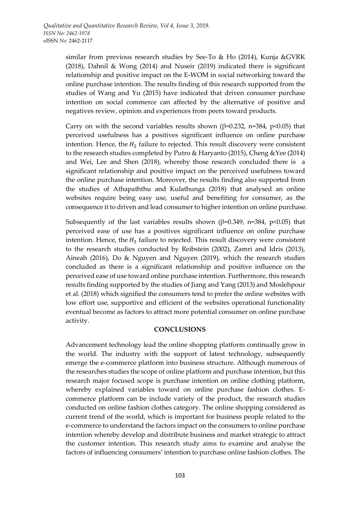similar from previous research studies by See-To & Ho (2014), Kunja &GVRK (2018), Dahnil & Wong (2014) and Nuseir (2019) indicated there is significant relationship and positive impact on the E-WOM in social networking toward the online purchase intention. The results finding of this research supported from the studies of Wang and Yu (2015) have indicated that driven consumer purchase intention on social commerce can affected by the alternative of positive and negatives review, opinion and experiences from peers toward products.

Carry on with the second variables results shown ( $\beta$ =0.232, n=384, p<0.05) that perceived usefulness has a positives significant influence on online purchase intention. Hence, the  $H_2$  failure to rejected. This result discovery were consistent to the research studies completed by Putro & Haryanto (2015), Cheng &Yee (2014) and Wei, Lee and Shen (2018), whereby those research concluded there is a significant relationship and positive impact on the perceived usefulness toward the online purchase intention. Moreover, the results finding also supported from the studies of Athapaththu and Kulathunga (2018) that analysed an online websites require being easy use, useful and benefiting for consumer, as the consequence it to driven and lead consumer to higher intention on online purchase.

Subsequently of the last variables results shown ( $\beta$ =0.349, n=384, p<0.05) that perceived ease of use has a positives significant influence on online purchase intention. Hence, the  $H_3$  failure to rejected. This result discovery were consistent to the research studies conducted by Reibstein (2002), Zamri and Idris (2013), Aineah (2016), Do & Nguyen and Nguyen (2019), which the research studies concluded as there is a significant relationship and positive influence on the perceived ease of use toward online purchase intention. Furthermore, this research results finding supported by the studies of Jiang and Yang (2013) and Moslehpour et al. (2018) which signified the consumers tend to prefer the online websites with low effort use, supportive and efficient of the websites operational functionality eventual become as factors to attract more potential consumer on online purchase activity.

#### **CONCLUSIONS**

Advancement technology lead the online shopping platform continually grow in the world. The industry with the support of latest technology, subsequently emerge the e-commerce platform into business structure. Although numerous of the researches studies the scope of online platform and purchase intention, but this research major focused scope is purchase intention on online clothing platform, whereby explained variables toward on online purchase fashion clothes. Ecommerce platform can be include variety of the product, the research studies conducted on online fashion clothes category. The online shopping considered as current trend of the world, which is important for business people related to the e-commerce to understand the factors impact on the consumers to online purchase intention whereby develop and distribute business and market strategic to attract the customer intention. This research study aims to examine and analyse the factors of influencing consumers' intention to purchase online fashion clothes. The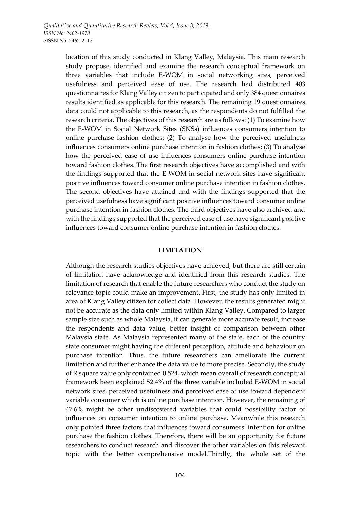location of this study conducted in Klang Valley, Malaysia. This main research study propose, identified and examine the research conceptual framework on three variables that include E-WOM in social networking sites, perceived usefulness and perceived ease of use. The research had distributed 403 questionnaires for Klang Valley citizen to participated and only 384 questionnaires results identified as applicable for this research. The remaining 19 questionnaires data could not applicable to this research, as the respondents do not fulfilled the research criteria. The objectives of this research are as follows: (1) To examine how the E-WOM in Social Network Sites (SNSs) influences consumers intention to online purchase fashion clothes; (2) To analyse how the perceived usefulness influences consumers online purchase intention in fashion clothes; (3) To analyse how the perceived ease of use influences consumers online purchase intention toward fashion clothes. The first research objectives have accomplished and with the findings supported that the E-WOM in social network sites have significant positive influences toward consumer online purchase intention in fashion clothes. The second objectives have attained and with the findings supported that the perceived usefulness have significant positive influences toward consumer online purchase intention in fashion clothes. The third objectives have also archived and with the findings supported that the perceived ease of use have significant positive influences toward consumer online purchase intention in fashion clothes.

#### **LIMITATION**

Although the research studies objectives have achieved, but there are still certain of limitation have acknowledge and identified from this research studies. The limitation of research that enable the future researchers who conduct the study on relevance topic could make an improvement. First, the study has only limited in area of Klang Valley citizen for collect data. However, the results generated might not be accurate as the data only limited within Klang Valley. Compared to larger sample size such as whole Malaysia, it can generate more accurate result, increase the respondents and data value, better insight of comparison between other Malaysia state. As Malaysia represented many of the state, each of the country state consumer might having the different perception, attitude and behaviour on purchase intention. Thus, the future researchers can ameliorate the current limitation and further enhance the data value to more precise. Secondly, the study of R square value only contained 0.524, which mean overall of research conceptual framework been explained 52.4% of the three variable included E-WOM in social network sites, perceived usefulness and perceived ease of use toward dependent variable consumer which is online purchase intention. However, the remaining of 47.6% might be other undiscovered variables that could possibility factor of influences on consumer intention to online purchase. Meanwhile this research only pointed three factors that influences toward consumers' intention for online purchase the fashion clothes. Therefore, there will be an opportunity for future researchers to conduct research and discover the other variables on this relevant topic with the better comprehensive model.Thirdly, the whole set of the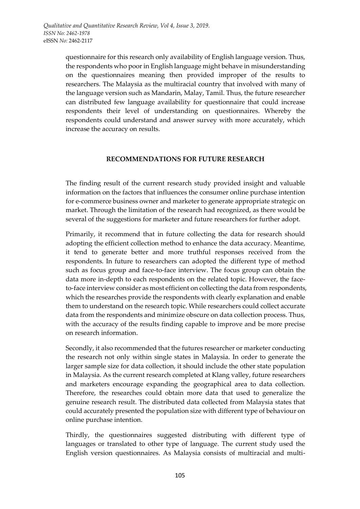questionnaire for this research only availability of English language version. Thus, the respondents who poor in English language might behave in misunderstanding on the questionnaires meaning then provided improper of the results to researchers. The Malaysia as the multiracial country that involved with many of the language version such as Mandarin, Malay, Tamil. Thus, the future researcher can distributed few language availability for questionnaire that could increase respondents their level of understanding on questionnaires. Whereby the respondents could understand and answer survey with more accurately, which increase the accuracy on results.

### **RECOMMENDATIONS FOR FUTURE RESEARCH**

The finding result of the current research study provided insight and valuable information on the factors that influences the consumer online purchase intention for e-commerce business owner and marketer to generate appropriate strategic on market. Through the limitation of the research had recognized, as there would be several of the suggestions for marketer and future researchers for further adopt.

Primarily, it recommend that in future collecting the data for research should adopting the efficient collection method to enhance the data accuracy. Meantime, it tend to generate better and more truthful responses received from the respondents. In future to researchers can adopted the different type of method such as focus group and face-to-face interview. The focus group can obtain the data more in-depth to each respondents on the related topic. However, the faceto-face interview consider as most efficient on collecting the data from respondents, which the researches provide the respondents with clearly explanation and enable them to understand on the research topic. While researchers could collect accurate data from the respondents and minimize obscure on data collection process. Thus, with the accuracy of the results finding capable to improve and be more precise on research information.

Secondly, it also recommended that the futures researcher or marketer conducting the research not only within single states in Malaysia. In order to generate the larger sample size for data collection, it should include the other state population in Malaysia. As the current research completed at Klang valley, future researchers and marketers encourage expanding the geographical area to data collection. Therefore, the researches could obtain more data that used to generalize the genuine research result. The distributed data collected from Malaysia states that could accurately presented the population size with different type of behaviour on online purchase intention.

Thirdly, the questionnaires suggested distributing with different type of languages or translated to other type of language. The current study used the English version questionnaires. As Malaysia consists of multiracial and multi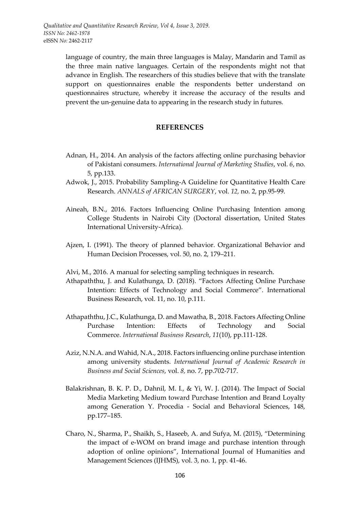language of country, the main three languages is Malay, Mandarin and Tamil as the three main native languages. Certain of the respondents might not that advance in English. The researchers of this studies believe that with the translate support on questionnaires enable the respondents better understand on questionnaires structure, whereby it increase the accuracy of the results and prevent the un-genuine data to appearing in the research study in futures.

#### **REFERENCES**

- Adnan, H., 2014. An analysis of the factors affecting online purchasing behavior of Pakistani consumers. *International Journal of Marketing Studies*, vol. *6*, no. 5, pp.133.
- Adwok, J., 2015. Probability Sampling-A Guideline for Quantitative Health Care Research. *ANNALS of AFRICAN SURGERY*, vol. *12,* no. 2, pp.95-99.
- Aineah, B.N., 2016. Factors Influencing Online Purchasing Intention among College Students in Nairobi City (Doctoral dissertation, United States International University-Africa).
- Ajzen, I. (1991). The theory of planned behavior. Organizational Behavior and Human Decision Processes, vol. 50, no. 2, 179–211.
- Alvi, M., 2016. A manual for selecting sampling techniques in research.
- Athapaththu, J. and Kulathunga, D. (2018). "Factors Affecting Online Purchase Intention: Effects of Technology and Social Commerce". International Business Research, vol. 11, no. 10, p.111.
- Athapaththu, J.C., Kulathunga, D. and Mawatha, B., 2018. Factors Affecting Online Purchase Intention: Effects of Technology and Social Commerce. *International Business Research*, *11*(10), pp.111-128.
- Aziz, N.N.A. and Wahid, N.A., 2018. Factors influencing online purchase intention among university students. *International Journal of Academic Research in Business and Social Sciences*, vol. *8,* no. 7, pp.702-717.
- Balakrishnan, B. K. P. D., Dahnil, M. I., & Yi, W. J. (2014). The Impact of Social Media Marketing Medium toward Purchase Intention and Brand Loyalty among Generation Y. Procedia - Social and Behavioral Sciences, 148, pp.177–185.
- Charo, N., Sharma, P., Shaikh, S., Haseeb, A. and Sufya, M. (2015), "Determining the impact of e-WOM on brand image and purchase intention through adoption of online opinions", International Journal of Humanities and Management Sciences (IJHMS), vol. 3, no. 1, pp. 41-46.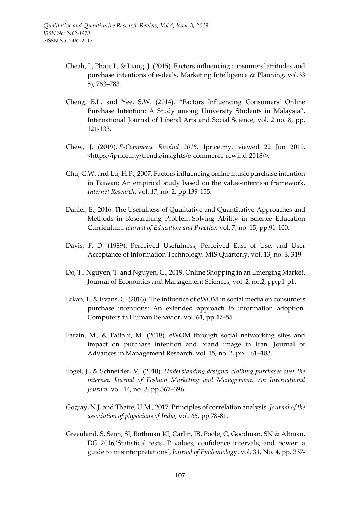- Cheah, I., Phau, I., & Liang, J. (2015). Factors influencing consumers' attitudes and purchase intentions of e-deals. Marketing Intelligence & Planning, vol.33 5), 763–783.
- Cheng, B.L. and Yee, S.W. (2014). "Factors Influencing Consumers' Online Purchase Intention: A Study among University Students in Malaysia". International Journal of Liberal Arts and Social Science, vol. 2 no. 8, pp. 121-133.
- Chew, J. (2019). *E-Commerce Rewind 2018*. Iprice.my. viewed 22 Jun 2019, <https://iprice.my/trends/insights/e-commerce-rewind-2018/>.
- Chu, C.W. and Lu, H.P., 2007. Factors influencing online music purchase intention in Taiwan: An empirical study based on the value-intention framework. *Internet Research*, vol. *17,* no. 2, pp.139-155.
- Daniel, E., 2016. The Usefulness of Qualitative and Quantitative Approaches and Methods in Researching Problem-Solving Ability in Science Education Curriculum. *Journal of Education and Practice*, vol. *7*, no. 15, pp.91-100.
- Davis, F. D. (1989). Perceived Usefulness, Perceived Ease of Use, and User Acceptance of Information Technology. MIS Quarterly, vol. 13, no. 3, 319.
- Do, T., Nguyen, T. and Nguyen, C., 2019. Online Shopping in an Emerging Market. Journal of Economics and Management Sciences, vol. 2, no.2, pp.p1-p1.
- Erkan, I., & Evans, C. (2016). The influence of eWOM in social media on consumers' purchase intentions: An extended approach to information adoption. Computers in Human Behavior, vol. 61, pp.47–55.
- Farzin, M., & Fattahi, M. (2018). eWOM through social networking sites and impact on purchase intention and brand image in Iran. Journal of Advances in Management Research, vol. 15, no. 2, pp. 161–183.
- Fogel, J., & Schneider, M. (2010). *Understanding designer clothing purchases over the internet. Journal of Fashion Marketing and Management: An International Journal,* vol. 14, no. 3, pp.367–396.
- Gogtay, N.J. and Thatte, U.M., 2017. Principles of correlation analysis. *Journal of the association of physicians of India*, vol. *65*, pp.78-81.
- Greenland, S, Senn, SJ, Rothman KJ, Carlin, JB, Poole, C, Goodman, SN & Altman, DG 2016,'Statistical tests, P values, confidence intervals, and power: a guide to misinterpretations', *Journal of Epidemiolog*y, vol. 31, No. 4, pp. 337-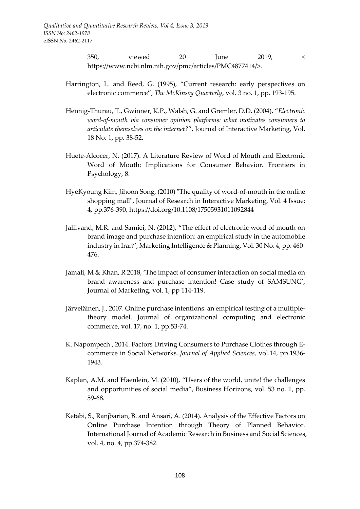350, viewed 20 June 2019, < https://www.ncbi.nlm.nih.gov/pmc/articles/PMC4877414/>.

- Harrington, L. and Reed, G. (1995), "Current research: early perspectives on electronic commerce", *The McKinsey Quarterly*, vol. 3 no. 1, pp. 193-195.
- Hennig-Thurau, T., Gwinner, K.P., Walsh, G. and Gremler, D.D. (2004), "*Electronic word-of-mouth via consumer opinion platforms: what motivates consumers to articulate themselves on the internet?*", Journal of Interactive Marketing, Vol. 18 No. 1, pp. 38-52.
- Huete-Alcocer, N. (2017). A Literature Review of Word of Mouth and Electronic Word of Mouth: Implications for Consumer Behavior. Frontiers in Psychology, 8.
- HyeKyoung Kim, Jihoon Song, (2010) "The quality of word‐of‐mouth in the online shopping mall", Journal of Research in Interactive Marketing, Vol. 4 Issue: 4, pp.376-390, https://doi.org/10.1108/17505931011092844
- Jalilvand, M.R. and Samiei, N. (2012), "The effect of electronic word of mouth on brand image and purchase intention: an empirical study in the automobile industry in Iran", Marketing Intelligence & Planning, Vol. 30 No. 4, pp. 460- 476.
- Jamali, M & Khan, R 2018, 'The impact of consumer interaction on social media on brand awareness and purchase intention! Case study of SAMSUNG', Journal of Marketing, vol. 1, pp 114-119.
- Järveläinen, J., 2007. Online purchase intentions: an empirical testing of a multipletheory model. Journal of organizational computing and electronic commerce, vol. 17, no. 1, pp.53-74.
- K. Napompech , 2014. Factors Driving Consumers to Purchase Clothes through Ecommerce in Social Networks. *Journal of Applied Sciences,* vol.14, pp.1936- 1943*.*
- Kaplan, A.M. and Haenlein, M. (2010), "Users of the world, unite! the challenges and opportunities of social media", Business Horizons, vol. 53 no. 1, pp. 59-68.
- Ketabi, S., Ranjbarian, B. and Ansari, A. (2014). Analysis of the Effective Factors on Online Purchase Intention through Theory of Planned Behavior. International Journal of Academic Research in Business and Social Sciences, vol. 4, no. 4, pp.374-382.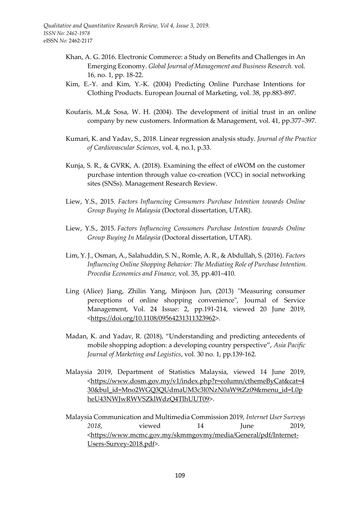- Khan, A. G. 2016. Electronic Commerce: a Study on Benefits and Challenges in An Emerging Economy. *Global Journal of Management and Business Research.* vol. 16, no. 1, pp. 18-22.
- Kim, E.-Y. and Kim, Y.-K. (2004) Predicting Online Purchase Intentions for Clothing Products. European Journal of Marketing, vol. 38, pp.883-897.
- Koufaris, M.,& Sosa, W. H. (2004). The development of initial trust in an online company by new customers. Information & Management, vol. 41, pp.377–397.
- Kumari, K. and Yadav, S., 2018. Linear regression analysis study. *Journal of the Practice of Cardiovascular Sciences*, vol. 4, no.1, p.33.
- Kunja, S. R., & GVRK, A. (2018). Examining the effect of eWOM on the customer purchase intention through value co-creation (VCC) in social networking sites (SNSs). Management Research Review.
- Liew, Y.S., 2015. *Factors Influencing Consumers Purchase Intention towards Online Group Buying In Malaysia* (Doctoral dissertation, UTAR).
- Liew, Y.S., 2015. *Factors Influencing Consumers Purchase Intention towards Online Group Buying In Malaysia* (Doctoral dissertation, UTAR).
- Lim, Y. J., Osman, A., Salahuddin, S. N., Romle, A. R., & Abdullah, S. (2016). *Factors Influencing Online Shopping Behavior: The Mediating Role of Purchase Intention. Procedia Economics and Finance,* vol. 35, pp.401–410*.*
- Ling (Alice) Jiang, Zhilin Yang, Minjoon Jun, (2013) "Measuring consumer perceptions of online shopping convenience", Journal of Service Management, Vol. 24 Issue: 2, pp.191-214, viewed 20 June 2019, <https://doi.org/10.1108/09564231311323962>.
- Madan, K. and Yadav, R. (2018), "Understanding and predicting antecedents of mobile shopping adoption: a developing country perspective", *Asia Pacific Journal of Marketing and Logistics*, vol. 30 no. 1, pp.139-162.
- Malaysia 2019, Department of Statistics Malaysia, viewed 14 June 2019, <https://www.dosm.gov.my/v1/index.php?r=column/cthemeByCat&cat=4 30&bul\_id=Mno2WGQ3QUdmaUM3c3l0NzN0aW9tZz09&menu\_id=L0p heU43NWJwRWVSZklWdzQ4TlhUUT09>.
- Malaysia Communication and Multimedia Commission 2019, *Internet User Surveys 2018*, viewed 14 June 2019, <https://www.mcmc.gov.my/skmmgovmy/media/General/pdf/Internet-Users-Survey-2018.pdf>.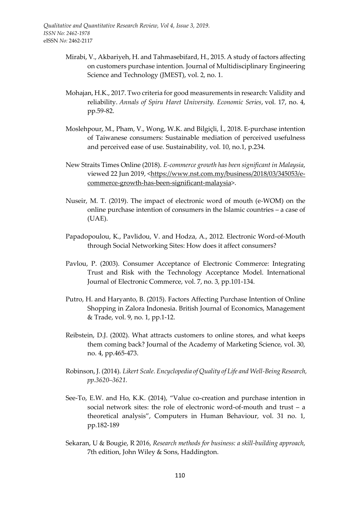- Mirabi, V., Akbariyeh, H. and Tahmasebifard, H., 2015. A study of factors affecting on customers purchase intention. Journal of Multidisciplinary Engineering Science and Technology (JMEST), vol. 2, no. 1.
- Mohajan, H.K., 2017. Two criteria for good measurements in research: Validity and reliability. *Annals of Spiru Haret University. Economic Series*, vol. 17, no. 4, pp.59-82.
- Moslehpour, M., Pham, V., Wong, W.K. and Bilgiçli, İ., 2018. E-purchase intention of Taiwanese consumers: Sustainable mediation of perceived usefulness and perceived ease of use. Sustainability, vol. 10, no.1, p.234.
- New Straits Times Online (2018). *E-commerce growth has been significant in Malaysia*, viewed 22 Jun 2019, <https://www.nst.com.my/business/2018/03/345053/ecommerce-growth-has-been-significant-malaysia>.
- Nuseir, M. T. (2019). The impact of electronic word of mouth (e-WOM) on the online purchase intention of consumers in the Islamic countries – a case of (UAE).
- Papadopoulou, K., Pavlidou, V. and Hodza, A., 2012. Electronic Word-of-Mouth through Social Networking Sites: How does it affect consumers?
- Pavlou, P. (2003). Consumer Acceptance of Electronic Commerce: Integrating Trust and Risk with the Technology Acceptance Model. International Journal of Electronic Commerce, vol. 7, no. 3, pp.101-134.
- Putro, H. and Haryanto, B. (2015). Factors Affecting Purchase Intention of Online Shopping in Zalora Indonesia. British Journal of Economics, Management & Trade, vol. 9, no. 1, pp.1-12.
- Reibstein, D.J. (2002). What attracts customers to online stores, and what keeps them coming back? Journal of the Academy of Marketing Science, vol. 30, no. 4, pp.465-473.
- Robinson, J. (2014). *Likert Scale. Encyclopedia of Quality of Life and Well-Being Research, pp.3620–3621.*
- See-To, E.W. and Ho, K.K. (2014), "Value co-creation and purchase intention in social network sites: the role of electronic word-of-mouth and trust – a theoretical analysis", Computers in Human Behaviour, vol. 31 no. 1, pp.182-189
- Sekaran, U & Bougie, R 2016, *Research methods for business: a skill-building approach*, 7th edition, John Wiley & Sons, Haddington.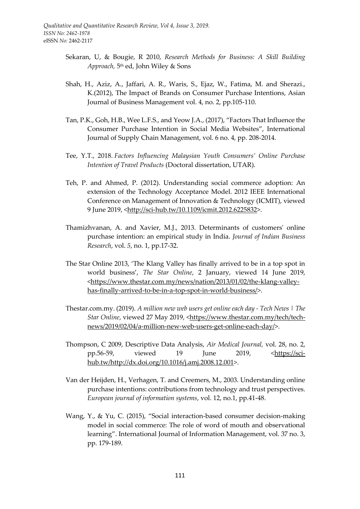- Sekaran, U, & Bougie, R 2010, *Research Methods for Business: A Skill Building Approach,* 5 th ed, John Wiley & Sons
- Shah, H., Aziz, A., Jaffari, A. R., Waris, S., Ejaz, W., Fatima, M. and Sherazi., K.(2012), The Impact of Brands on Consumer Purchase Intentions, Asian Journal of Business Management vol. 4, no. 2, pp.105-110.
- Tan, P.K., Goh, H.B., Wee L.F.S., and Yeow J.A., (2017), "Factors That Influence the Consumer Purchase Intention in Social Media Websites", International Journal of Supply Chain Management, vol. 6 no. 4, pp. 208-2014.
- Tee, Y.T., 2018. *Factors Influencing Malaysian Youth Consumers' Online Purchase Intention of Travel Products* (Doctoral dissertation, UTAR).
- Teh, P. and Ahmed, P. (2012). Understanding social commerce adoption: An extension of the Technology Acceptance Model. 2012 IEEE International Conference on Management of Innovation & Technology (ICMIT), viewed 9 June 2019, <http://sci-hub.tw/10.1109/icmit.2012.6225832>.
- Thamizhvanan, A. and Xavier, M.J., 2013. Determinants of customers' online purchase intention: an empirical study in India. *Journal of Indian Business Research*, vol. *5*, no. 1, pp.17-32.
- The Star Online 2013, 'The Klang Valley has finally arrived to be in a top spot in world business', *The Star Online*, 2 January, viewed 14 June 2019, <https://www.thestar.com.my/news/nation/2013/01/02/the-klang-valleyhas-finally-arrived-to-be-in-a-top-spot-in-world-business/>.
- Thestar.com.my. (2019). *A million new web users get online each day - Tech News | The Star Online*, viewed 27 May 2019, <https://www.thestar.com.my/tech/technews/2019/02/04/a-million-new-web-users-get-online-each-day/>.
- Thompson, C 2009, Descriptive Data Analysis, *Air Medical Journal,* vol. 28, no. 2, pp.56-59, viewed 19 June 2019, [<https://sci](https://sci-hub.tw/http:/dx.doi.org/10.1016/j.amj.2008.12.001)[hub.tw/http://dx.doi.org/10.1016/j.amj.2008.12.001>](https://sci-hub.tw/http:/dx.doi.org/10.1016/j.amj.2008.12.001).
- Van der Heijden, H., Verhagen, T. and Creemers, M., 2003. Understanding online purchase intentions: contributions from technology and trust perspectives. *European journal of information systems*, vol. 12, no.1, pp.41-48.
- Wang, Y., & Yu, C. (2015), "Social interaction-based consumer decision-making model in social commerce: The role of word of mouth and observational learning". International Journal of Information Management, vol. 37 no. 3, pp. 179-189.